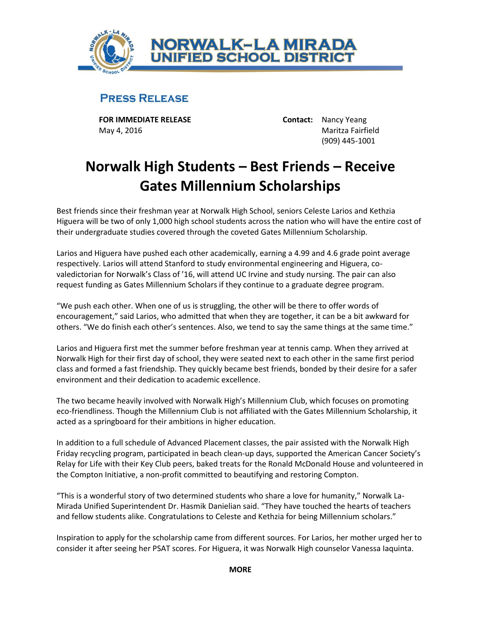

## **PRESS RELEASE**

**FOR IMMEDIATE RELEASE Contact:** Nancy Yeang May 4, 2016 Maritza Fairfield

(909) 445-1001

## **Norwalk High Students – Best Friends – Receive Gates Millennium Scholarships**

Best friends since their freshman year at Norwalk High School, seniors Celeste Larios and Kethzia Higuera will be two of only 1,000 high school students across the nation who will have the entire cost of their undergraduate studies covered through the coveted Gates Millennium Scholarship.

Larios and Higuera have pushed each other academically, earning a 4.99 and 4.6 grade point average respectively. Larios will attend Stanford to study environmental engineering and Higuera, covaledictorian for Norwalk's Class of '16, will attend UC Irvine and study nursing. The pair can also request funding as Gates Millennium Scholars if they continue to a graduate degree program.

"We push each other. When one of us is struggling, the other will be there to offer words of encouragement," said Larios, who admitted that when they are together, it can be a bit awkward for others. "We do finish each other's sentences. Also, we tend to say the same things at the same time."

Larios and Higuera first met the summer before freshman year at tennis camp. When they arrived at Norwalk High for their first day of school, they were seated next to each other in the same first period class and formed a fast friendship. They quickly became best friends, bonded by their desire for a safer environment and their dedication to academic excellence.

The two became heavily involved with Norwalk High's Millennium Club, which focuses on promoting eco-friendliness. Though the Millennium Club is not affiliated with the Gates Millennium Scholarship, it acted as a springboard for their ambitions in higher education.

In addition to a full schedule of Advanced Placement classes, the pair assisted with the Norwalk High Friday recycling program, participated in beach clean-up days, supported the American Cancer Society's Relay for Life with their Key Club peers, baked treats for the Ronald McDonald House and volunteered in the Compton Initiative, a non-profit committed to beautifying and restoring Compton.

"This is a wonderful story of two determined students who share a love for humanity," Norwalk La-Mirada Unified Superintendent Dr. Hasmik Danielian said. "They have touched the hearts of teachers and fellow students alike. Congratulations to Celeste and Kethzia for being Millennium scholars."

Inspiration to apply for the scholarship came from different sources. For Larios, her mother urged her to consider it after seeing her PSAT scores. For Higuera, it was Norwalk High counselor Vanessa Iaquinta.